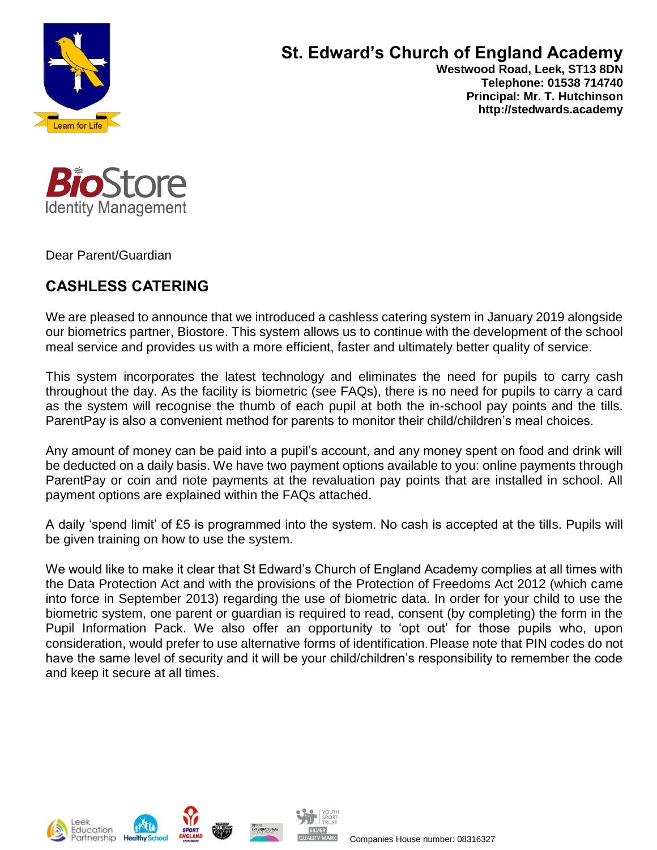

# **St. Edward's Church of England Academy**

 **Westwood Road, Leek, ST13 8DN Telephone: 01538 714740 Principal: Mr. T. Hutchinson http://stedwards.academy**



Dear Parent/Guardian

## **CASHLESS CATERING**

We are pleased to announce that we introduced a cashless catering system in January 2019 alongside our biometrics partner, Biostore. This system allows us to continue with the development of the school meal service and provides us with a more efficient, faster and ultimately better quality of service.

This system incorporates the latest technology and eliminates the need for pupils to carry cash throughout the day. As the facility is biometric (see FAQs), there is no need for pupils to carry a card as the system will recognise the thumb of each pupil at both the in-school pay points and the tills. ParentPay is also a convenient method for parents to monitor their child/children's meal choices.

Any amount of money can be paid into a pupil's account, and any money spent on food and drink will be deducted on a daily basis. We have two payment options available to you: online payments through ParentPay or coin and note payments at the revaluation pay points that are installed in school. All payment options are explained within the FAQs attached.

A daily 'spend limit' of £5 is programmed into the system. No cash is accepted at the tills. Pupils will be given training on how to use the system.

We would like to make it clear that St Edward's Church of England Academy complies at all times with the Data Protection Act and with the provisions of the Protection of Freedoms Act 2012 (which came into force in September 2013) regarding the use of biometric data. In order for your child to use the biometric system, one parent or guardian is required to read, consent (by completing) the form in the Pupil Information Pack. We also offer an opportunity to 'opt out' for those pupils who, upon consideration, would prefer to use alternative forms of identification. Please note that PIN codes do not have the same level of security and it will be your child/children's responsibility to remember the code and keep it secure at all times.